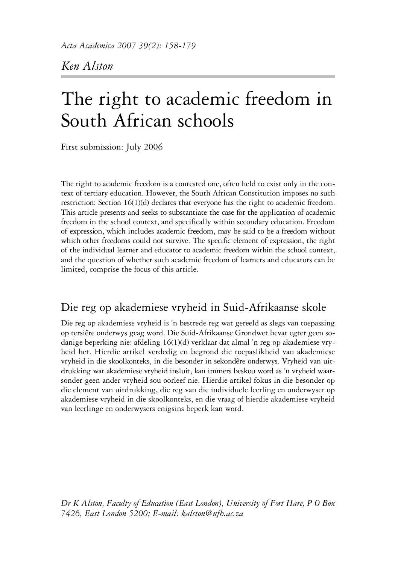*Ken Alston*

# The right to academic freedom in South African schools

First submission: July 2006

The right to academic freedom is a contested one, often held to exist only in the context of tertiary education. However, the South African Constitution imposes no such restriction: Section 16(1)(d) declares that everyone has the right to academic freedom. This article presents and seeks to substantiate the case for the application of academic freedom in the school context, and specifically within secondary education. Freedom of expression, which includes academic freedom, may be said to be a freedom without which other freedoms could not survive. The specific element of expression, the right of the individual learner and educator to academic freedom within the school context, and the question of whether such academic freedom of learners and educators can be limited, comprise the focus of this article.

# Die reg op akademiese vryheid in Suid-Afrikaanse skole

Die reg op akademiese vryheid is 'n bestrede reg wat gereeld as slegs van toepassing op tersiêre onderwys geag word. Die Suid-Afrikaanse Grondwet bevat egter geen sodanige beperking nie: afdeling 16(1)(d) verklaar dat almal 'n reg op akademiese vryheid het. Hierdie artikel verdedig en begrond die toepaslikheid van akademiese vryheid in die skoolkonteks, in die besonder in sekondêre onderwys. Vryheid van uitdrukking wat akademiese vryheid insluit, kan immers beskou word as 'n vryheid waarsonder geen ander vryheid sou oorleef nie. Hierdie artikel fokus in die besonder op die element van uitdrukking, die reg van die individuele leerling en onderwyser op akademiese vryheid in die skoolkonteks, en die vraag of hierdie akademiese vryheid van leerlinge en onderwysers enigsins beperk kan word.

*Dr K Alston, Faculty of Education (East London), University of Fort Hare, P O Box 7426, East London 5200; E-mail: kalston@ufh.ac.za*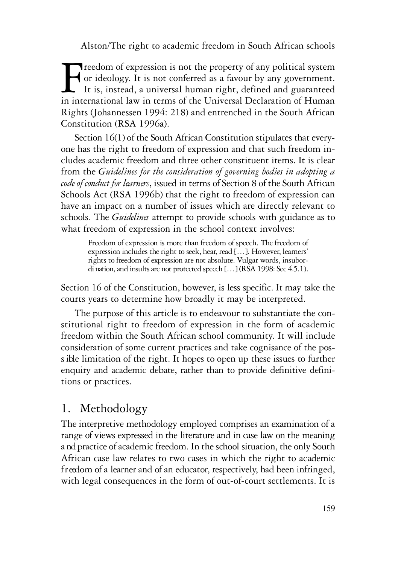Freedom of expression is not the property of any political system or ideology. It is not conferred as a favour by any government. It is, instead, a universal human right, defined and guaranteed in international law in term or ideology. It is not conferred as a favour by any government. It is, instead, a universal human right, defined and guaranteed in international law in terms of the Universal Declaration of Human Rights (Johannessen 1994: 218) and entrenched in the South African Constitution (RSA 1996a).

Section  $16(1)$  of the South African Constitution stipulates that everyone has the right to freedom of expression and that such freedom includes academic freedom and three other constituent items. It is clear from the *Guidelines for the consideration of governing bodies in adopting a code of conduct for learners*, issued in terms of Section 8 of the South African Schools Act (RSA 1996b) that the right to freedom of expression can have an impact on a number of issues which are directly relevant to schools. The *Guidelines* attempt to provide schools with guidance as to what freedom of expression in the school context involves:

Freedom of expression is more than freedom of speech. The freedom of expression includes the right to seek, hear, read [...]. However, learners' rights to freedom of expression are not absolute. Vulgar words, insubordi nation, and insults are not protected speech [...] (RSA 1998: Sec 4.5.1).

Section 16 of the Constitution, however, is less specific. It may take the courts years to determine how broadly it may be interpreted.

The purpose of this article is to endeavour to substantiate the constitutional right to freedom of expression in the form of academic freedom within the South African school community. It will include consideration of some current practices and take cognisance of the poss ible limitation of the right. It hopes to open up these issues to further enquiry and academic debate, rather than to provide definitive definitions or practices.

# 1. Methodology

The interpretive methodology employed comprises an examination of a range of views expressed in the literature and in case law on the meaning a nd practice of academic freedom. In the school situation, the only South African case law relates to two cases in which the right to academic freedom of a learner and of an educator, respectively, had been infringed, with legal consequences in the form of out-of-court settlements. It is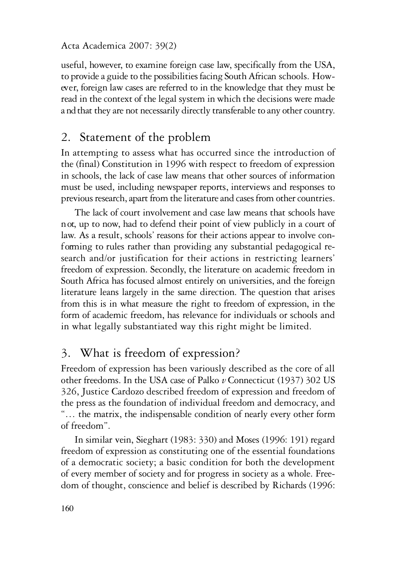useful, however, to examine foreign case law, specifically from the USA. to provide a guide to the possibilities facing South African schools. However, foreign law cases are referred to in the knowledge that they must be read in the context of the legal system in which the decisions were made a nd that they are not necessarily directly transferable to any other country.

# 2. Statement of the problem

In attempting to assess what has occurred since the introduction of the (final) Constitution in 1996 with respect to freedom of expression in schools, the lack of case law means that other sources of information must be used, including newspaper reports, interviews and responses to previous research, apart from the literature and cases from other countries.

The lack of court involvement and case law means that schools have n ot, up to now, had to defend their point of view publicly in a court of law. As a result, schools' reasons for their actions appear to involve conf orming to rules rather than providing any substantial pedagogical research and/or justification for their actions in restricting learners' freedom of expression. Secondly, the literature on academic freedom in South Africa has focused almost entirely on universities, and the foreign literature leans largely in the same direction. The question that arises from this is in what measure the right to freedom of expression, in the form of academic freedom, has relevance for individuals or schools and in what legally substantiated way this right might be limited.

# 3. What is freedom of expression?

Freedom of expression has been variously described as the core of all other freedoms. In the USA case of Palko *v* Connecticut (1937) 302 US 326, Justice Cardozo described freedom of expression and freedom of the press as the foundation of individual freedom and democracy, and "… the matrix, the indispensable condition of nearly every other form of freedom".

In similar vein, Sieghart (1983: 330) and Moses (1996: 191) regard freedom of expression as constituting one of the essential foundations of a democratic society; a basic condition for both the development of every member of society and for progress in society as a whole. Freedom of thought, conscience and belief is described by Richards (1996: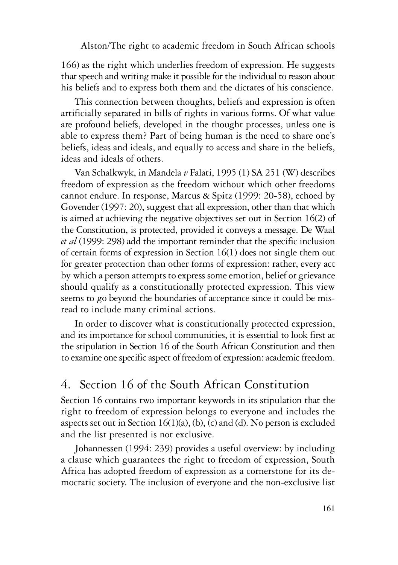166) as the right which underlies freedom of expression. He suggests that speech and writing make it possible for the individual to reason about his beliefs and to express both them and the dictates of his conscience.

This connection between thoughts, beliefs and expression is often artificially separated in bills of rights in various forms. Of what value are profound beliefs, developed in the thought processes, unless one is able to express them? Part of being human is the need to share one's beliefs, ideas and ideals, and equally to access and share in the beliefs, ideas and ideals of others.

Van Schalkwyk, in Mandela *v* Falati, 1995 (1) SA 251 (W) describes freedom of expression as the freedom without which other freedoms cannot endure. In response, Marcus & Spitz (1999: 20-58), echoed by Govender (1997: 20), suggest that all expression, other than that which is aimed at achieving the negative objectives set out in Section 16(2) of the Constitution, is protected, provided it conveys a message. De Waal *et al* (1999: 298) add the important reminder that the specific inclusion of certain forms of expression in Section 16(1) does not single them out for greater protection than other forms of expression: rather, every act by which a person attempts to express some emotion, belief or grievance should qualify as a constitutionally protected expression. This view seems to go beyond the boundaries of acceptance since it could be misread to include many criminal actions.

In order to discover what is constitutionally protected expression, and its importance for school communities, it is essential to look first at the stipulation in Section 16 of the South African Constitution and then to examine one specific aspect of freedom of expression: academic freedom.

# 4. Section 16 of the South African Constitution

Section 16 contains two important keywords in its stipulation that the right to freedom of expression belongs to everyone and includes the aspects set out in Section  $16(1)(a)$ , (b), (c) and (d). No person is excluded and the list presented is not exclusive.

Johannessen (1994: 239) provides a useful overview: by including a clause which guarantees the right to freedom of expression, South Africa has adopted freedom of expression as a cornerstone for its democratic society. The inclusion of everyone and the non-exclusive list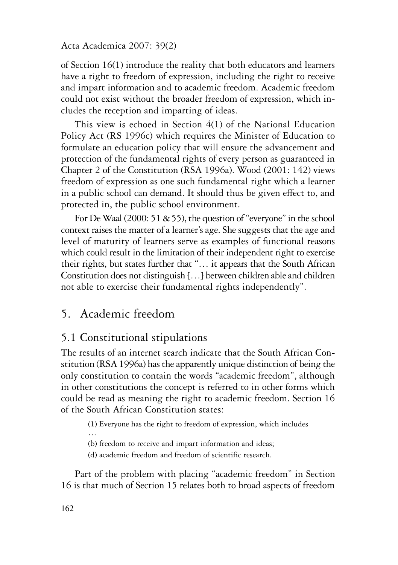of Section 16(1) introduce the reality that both educators and learners have a right to freedom of expression, including the right to receive and impart information and to academic freedom. Academic freedom could not exist without the broader freedom of expression, which includes the reception and imparting of ideas.

This view is echoed in Section 4(1) of the National Education Policy Act (RS 1996c) which requires the Minister of Education to formulate an education policy that will ensure the advancement and protection of the fundamental rights of every person as guaranteed in Chapter 2 of the Constitution (RSA 1996a). Wood (2001: 142) views freedom of expression as one such fundamental right which a learner in a public school can demand. It should thus be given effect to, and protected in, the public school environment.

For De Waal (2000: 51  $\&$  55), the question of "everyone" in the school context raises the matter ofa learner'sage. She suggests that the age and level of maturity of learners serve as examples of functional reasons which could result in the limitation of their independent right to exercise their rights, but states further that "... it appears that the South African Constitution does not distinguish [...] between children able and children not able to exercise their fundamental rights independently".

# 5. Academic freedom

# 5.1 Constitutional stipulations

The results of an internet search indicate that the South African Constitution (RSA 1996a) has the apparently unique distinction of being the only constitution to contain the words "academic freedom", although in other constitutions the concept is referred to in other forms which could be read as meaning the right to academic freedom. Section 16 of the South African Constitution states:

- (1) Everyone has the right to freedom of expression, which includes
- (b) freedom to receive and impart information and ideas;
- (d) academic freedom and freedom of scientific research.

Part of the problem with placing "academic freedom" in Section 16 is that much of Section 15 relates both to broad aspects of freedom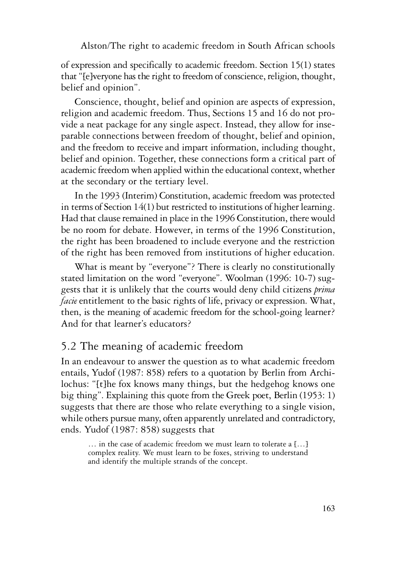of expression and specifically to academic freedom. Section 15(1) states that "[e]veryone has the right to freedom of conscience, religion, thought, belief and opinion".

Conscience, thought, belief and opinion are aspects of expression, religion and academic freedom. Thus, Sections 15 and 16 do not provide a neat package for any single aspect. Instead, they allow for inseparable connections between freedom of thought, belief and opinion, and the freedom to receive and impart information, including thought, belief and opinion. Together, these connections form a critical part of academic freedom when applied within the educational context, whether at the secondary or the tertiary level.

In the 1993 (Interim) Constitution, academic freedom was protected in terms of Section 14(1) but restricted to institutions of higher learning. Had that clause remained in place in the 1996 Constitution, there would be no room for debate. However, in terms of the 1996 Constitution, the right has been broadened to include everyone and the restriction of the right has been removed from institutions of higher education.

What is meant by "everyone"? There is clearly no constitutionally stated limitation on the word "everyone". Woolman (1996: 10-7) suggests that it is unlikely that the courts would deny child citizens *prima facie* entitlement to the basic rights of life, privacy or expression. What, then, is the meaning of academic freedom for the school-going learner? And for that learner's educators?

# 5.2 The meaning of academic freedom

In an endeavour to answer the question as to what academic freedom entails, Yudof (1987: 858) refers to a quotation by Berlin from Archilochus: "[t]he fox knows many things, but the hedgehog knows one big thing". Explaining this quote from the Greek poet, Berlin (1953: 1) suggests that there are those who relate everything to a single vision, while others pursue many, often apparently unrelated and contradictory, ends. Yudof (1987: 858) suggests that

… in the case of academic freedom we must learn to tolerate a […] complex reality. We must learn to be foxes, striving to understand and identify the multiple strands of the concept.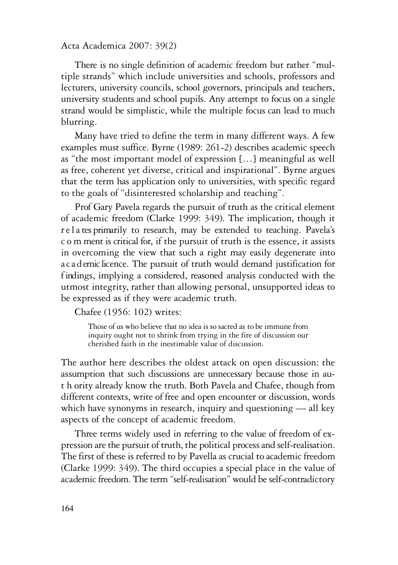There is no single definition of academic freedom but rather "multiple strands" which include universities and schools, professors and lecturers, university councils, school governors, principals and teachers, university students and school pupils. Any attempt to focus on a single strand would be simplistic, while the multiple focus can lead to much blurring.

Many have tried to define the term in many different ways. A few examples must suffice. Byrne (1989: 261-2) describes academic speech as "the most important model of expression […] meaningful as well as free, coherent yet diverse, critical and inspirational". Byrne argues that the term has application only to universities, with specific regard to the goals of "disinterested scholarship and teaching".

Prof Gary Pavela regards the pursuit of truth as the critical element of academic freedom (Clarke 1999: 349). The implication, though it r e l a tes primarily to research, may be extended to teaching. Pavela's c o m ment is critical for, if the pursuit of truth is the essence, it assists in overcoming the view that such a right may easily degenerate into a c a d emic licence. The pursuit of truth would demand justification for f indings, implying a considered, reasoned analysis conducted with the utmost integrity, rather than allowing personal, unsupported ideas to be expressed as if they were academic truth.

Chafee (1956: 102) writes:

Those of us who believe that no idea is so sacred as to be immune from inquiry ought not to shrink from trying in the fire of discussion our cherished faith in the inestimable value of discussion.

The author here describes the oldest attack on open discussion: the assumption that such discussions are unnecessary because those in aut h ority already know the truth. Both Pavela and Chafee, though from different contexts, write of free and open encounter or discussion, words which have synonyms in research, inquiry and questioning — all key aspects of the concept of academic freedom.

Three terms widely used in referring to the value of freedom of expression are the pursuit of truth, the political process and self-realisation. The first of these is referred to by Pavella as crucial to academic freedom (Clarke 1999: 349). The third occupies a special place in the value of academic freedom. The term "self-realisation" would be self-contradictory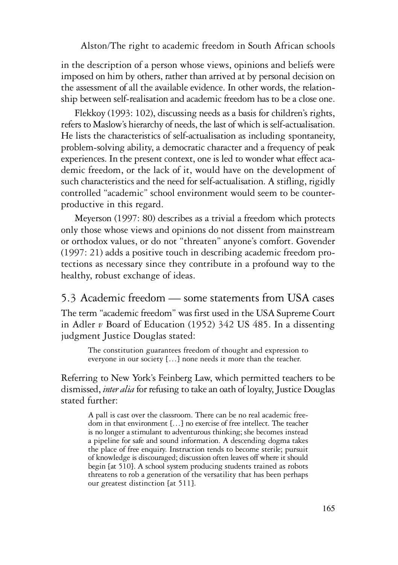in the description of a person whose views, opinions and beliefs were imposed on him by others, rather than arrived at by personal decision on the assessment of all the available evidence. In other words, the relationship between self-realisation and academic freedom has to be a close one.

Flekkoy (1993: 102), discussing needs asa basis for children's rights, refers to Maslow's hierarchy of needs, thelast of which is self-actualisation. He lists the characteristics of self-actualisation as including spontaneity, problem-solving ability, a democratic character and a frequency of peak experiences. In the present context, one is led to wonder what effect academic freedom, or the lack of it, would have on the development of such characteristics and the need for self-actualisation. A stifling, rigidly controlled "academic" school environment would seem to be counterproductive in this regard.

Meyerson (1997: 80) describes as a trivial a freedom which protects only those whose views and opinions do not dissent from mainstream or orthodox values, or do not "threaten" anyone's comfort. Govender (1997: 21) adds a positive touch in describing academic freedom protections as necessary since they contribute in a profound way to the healthy, robust exchange of ideas.

# 5.3 Academic freedom — some statements from USA cases

The term "academic freedom" was first used in the USA Supreme Court in Adler *v* Board of Education (1952) 342 US 485. In a dissenting judgment Justice Douglas stated:

The constitution guarantees freedom of thought and expression to everyone in our society […] none needs it more than the teacher.

Referring to New York's Feinberg Law, which permitted teachers to be dismissed, *inter alia* forrefusing to takean oath of loyalty, Justice Douglas stated further:

A pall is cast over the classroom. There can be no real academic free-<br>dom in that environment […] no exercise of free intellect. The teacher<br>is no longer a stimulant to adventurous thinking; she becomes instead a pipeline for safe and sound information. A descending dogma takes the place of free enquiry. Instruction tends to become sterile; pursuit of knowledge is discouraged; discussion often leaves off where it should begin [at 510]. A school system producing students trained as robots threatens to rob a generation of the versatility that has been perhaps our greatest distinction [at 511].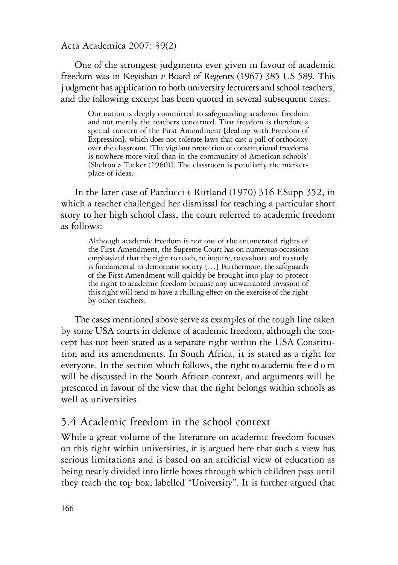One of the strongest judgments ever given in favour of academic freedom was in Keyishan *v* Board of Regents (1967) 385 US 589. This i udgment has application to both university lecturers and school teachers, and the following excerpt has been quoted in several subsequent cases:

Our nation is deeply committed to safeguarding academic freedom and not merely the teachers concerned. That freedom is therefore a special concern of the First Amendment [dealing with Freedom of Expression], which does not tolerate laws that cast a pall of orthodoxy over the classroom. The vigilant protection of constitutional freedoms is nowhere more vital than in the community of American schools' [Shelton *<sup>v</sup>* Tucker (1960)]. The classroom is peculiarly the market- place of ideas.

In the later case of Parducci *v* Rutland (1970) 316 F.Supp 352, in which a teacher challenged her dismissal for teaching a particular short story to her high school class, the court referred to academic freedom as follows:

Although academic freedom is not one of the enumerated rights of the First Amendment, the Supreme Court has on numerous occasions emphasized that the right to teach, to inquire, to evaluate and to study is fundamental to democratic society  $\left\{ \ldots \right\}$  Furthermore, the safeguards of the First Amendment will quickly be brought into play to protect the right to academic freedom because any unwarranted invasion of this right will tend to have achilling effect on the exercise of the right by other teachers.

The cases mentioned above serve as examples of the tough line taken by some USA courts in defence of academic freedom, although the concept has not been stated as a separate right within the USA Constitution and its amendments. In South Africa, it is stated as a right for everyone. In the section which follows, the right to academic fre e d o m will be discussed in the South African context, and arguments will be presented in favour of the view that the right belongs within schools as well as universities.

# 5.4 Academic freedom in the school context

While a great volume of the literature on academic freedom focuses on this right within universities, it is argued here that such a view has serious limitations and is based on an artificial view of education as being neatly divided into little boxes through which children pass until they reach the top box, labelled "University". It is further argued that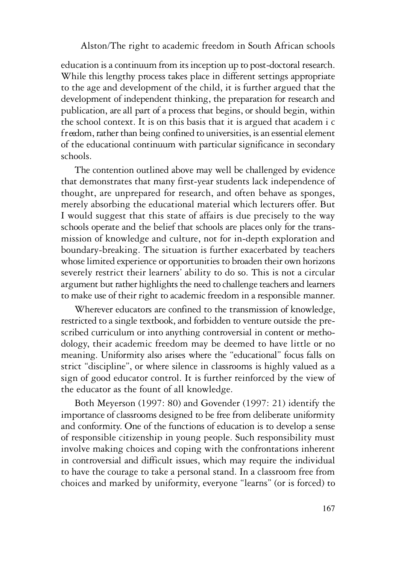education is a continuum from its inception up to post-doctoral research. While this lengthy process takes place in different settings appropriate to the age and development of the child, it is further argued that the development of independent thinking, the preparation for research and publication, are all part of a process that begins, or should begin, within the school context. It is on this basis that it is argued that academ i c f reedom, rather than being confined to universities, is an essential element of the educational continuum with particular significance in secondary schools.

The contention outlined above may well be challenged by evidence that demonstrates that many first-year students lack independence of thought, are unprepared for research, and often behave as sponges, merely absorbing the educational material which lecturers offer. But I would suggest that this state of affairs is due precisely to the way schools operate and the belief that schools are places only for the transmission of knowledge and culture, not for in-depth exploration and boundary-breaking. The situation is further exacerbated by teachers whose limited experience or opportunities to broaden their own horizons severely restrict their learners' ability to do so. This is not a circular argument but rather highlights the need to challenge teachers and learners to make use of their right to academic freedom in a responsible manner.

Wherever educators are confined to the transmission of knowledge, restricted to a single textbook,and forbidden to venture outside the prescribed curriculum or into anything controversial in content or methodology, their academic freedom may be deemed to have little or no meaning. Uniformity also arises where the "educational" focus falls on strict "discipline", or where silence in classrooms is highly valued as a sign of good educator control. It is further reinforced by the view of the educator as the fount of all knowledge.

Both Meyerson (1997: 80) and Govender (1997: 21) identify the importance of classrooms designed to be free from deliberate uniformity and conformity. One of the functions of education is to develop a sense of responsible citizenship in young people. Such responsibility must involve making choices and coping with the confrontations inherent in controversial and difficult issues, which may require the individual to have the courage to take a personal stand. In a classroom free from choices and marked by uniformity, everyone "learns" (or is forced) to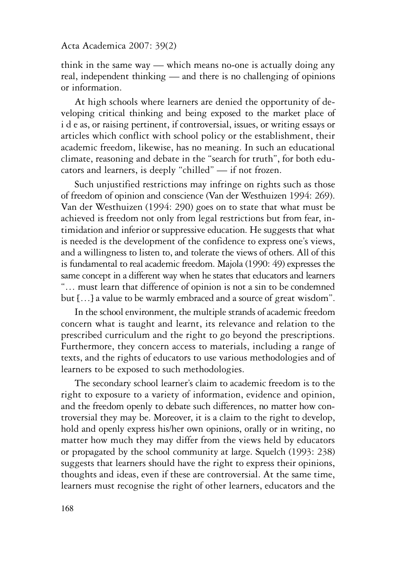think in the same way — which means no-one is actually doing any real, independent thinking — and there is no challenging of opinions or information.

At high schools where learners are denied the opportunity of developing critical thinking and being exposed to the market place of i d e as, or raising pertinent, if controversial, issues, or writing essays or articles which conflict with school policy or the establishment, their academic freedom, likewise, has no meaning. In such an educational climate, reasoning and debate in the "search for truth", for both educators and learners, is deeply "chilled" — if not frozen.

Such unjustified restrictions may infringe on rights such as those of freedom of opinion and conscience (Van der Westhuizen 1994: 269). Van der Westhuizen (1994: 290) goes on to state that what must be achieved is freedom not only from legal restrictions but from fear, intimidation and inferior or suppressive education. He suggests that what is needed is the development of the confidence to express one's views, and a willingness to listen to, and tolerate the views of others. All of this is fundamental to real academic freedom. Majola (1990: 49) expresses the same concept in a different way when he states that educators and learners "… must learn that difference of opinion is not a sin to be condemned but […] a value to be warmly embraced and a source of great wisdom".

In the school environment, the multiple strands of academic freedom concern what is taught and learnt, its relevance and relation to the prescribed curriculum and the right to go beyond the prescriptions. Furthermore, they concern access to materials, including a range of texts, and the rights of educators to use various methodologies and of learners to be exposed to such methodologies.

The secondary school learner's claim to academic freedom is to the right to exposure to a variety of information, evidence and opinion, and the freedom openly to debate such differences, no matter how controversial they may be. Moreover, it is a claim to the right to develop, hold and openly express his/her own opinions, orally or in writing, no matter how much they may differ from the views held by educators or propagated by the school community at large. Squelch (1993: 238) suggests that learners should have the right to express their opinions, thoughts and ideas, even if these are controversial. At the same time, learners must recognise the right of other learners, educators and the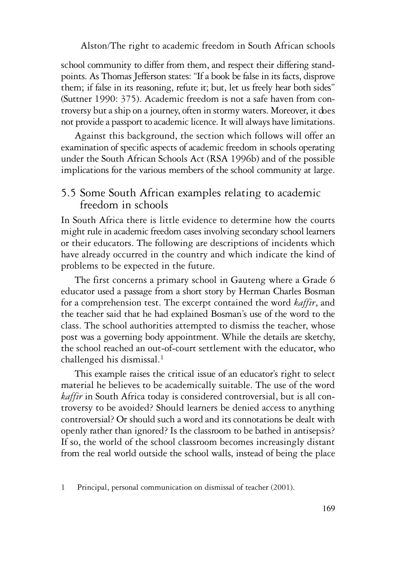school community to differ from them, and respect their differing standpoints. As Thomas Jefferson states: "If a book be false in its facts, disprove them; if false in its reasoning, refute it; but, let us freely hear both sides" (Suttner 1990:  $375$ ). Academic freedom is not a safe haven from controversy but a ship on a journey, often in stormy waters. Moreover, it does not provide a passport to academic licence. It will always have limitations.

Against this background, the section which follows will offer an examination of specific aspects of academic freedom in schools operating under the South African Schools Act (RSA 1996b) and of the possible implications for the various members of the school community at large.

# 5.5 Some South African examples relating to academic freedom in schools

In South Africa there is little evidence to determine how the courts might rule in academic freedom cases involving secondary school learners or their educators. The following are descriptions of incidents which have already occurred in the country and which indicate the kind of problems to be expected in the future.

The first concerns a primary school in Gauteng where a Grade 6 educator used a passage from a short story by Herman Charles Bosman for a comprehension test. The excerpt contained the word *kaffir*, and the teacher said that he had explained Bosman's use of the word to the class. The school authorities attempted to dismiss the teacher, whose post was a governing body appointment. While the details are sketchy, the school reached an out-of-court settlement with the educator, who challenged his dismissal.<sup>1</sup>

This example raises the critical issue of an educator's right to select material he believes to be academically suitable. The use of the word *kaffir* in South Africa today is considered controversial, but is all controversy to be avoided? Should learners be denied access to anything controversial? Or should such a word and itsconnotations be dealt with openly rather than ignored? Is the classroom to be bathed in antisepsis? If so, the world of the school classroom becomes increasingly distant from the real world outside the school walls, instead of being the place

<sup>1</sup> Principal, personal communication on dismissal of teacher (2001).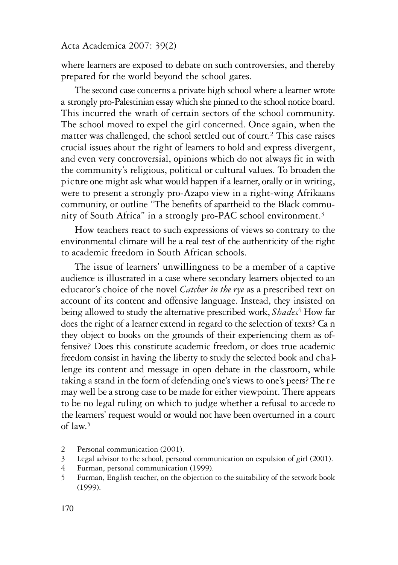where learners are exposed to debate on such controversies, and thereby prepared for the world beyond the school gates.

The second case concerns a private high school where a learner wrote a strongly pro-Palestinian essaywhich she pinned to theschool notice board. This incurred the wrath of certain sectors of the school community. The school moved to expel the girl concerned. Once again, when the matter was challenged, the school settled out of court.<sup>2</sup> This case raises crucial issues about the right of learners to hold and express divergent, and even very controversial, opinions which do not always fit in with the community's religious, political or cultural values. To broaden the p i c ture one might ask what would happen if a learner, orally or in writing, were to present a strongly pro-Azapo view in a right-wing Afrikaans community, or outline "The benefits of apartheid to the Black community of South Africa" in a strongly pro-PAC school environment.<sup>3</sup>

How teachers react to such expressions of views so contrary to the environmental climate will be a real test of the authenticity of the right to academic freedom in South African schools.

The issue of learners' unwillingness to be a member of a captive audience is illustrated in a case where secondary learners objected to an educator's choice of the novel *Catcher in the rye* as a prescribed text on account of its content and offensive language. Instead, they insisted on being allowed to study the alternative prescribed work, *Shades*.<sup>4</sup> How far does the right of a learner extend in regard to the selection of texts? Ca n they object to books on the grounds of their experiencing them as offensive? Does this constitute academic freedom, or does true academic freedom consist in having the liberty to study the selected book and challenge its content and message in open debate in the classroom, while taking a stand in the form of defending one's views to one's peers? The r e may well be a strong case to be made for either viewpoint. There appears to be no legal ruling on which to judge whether a refusal to accede to the learners' request would or would not have been overturned in a court of law. 5

- 2 Personal communication (2001).<br>3 Legal advisor to the school, person
- 3 Legal advisor to the school, personal communication on expulsion of girl (2001).<br>4 Furman personal communication (1999)
- Furman, personal communication (1999).
- 5 Furman, English teacher, on the objection to the suitability of the setwork book (1999).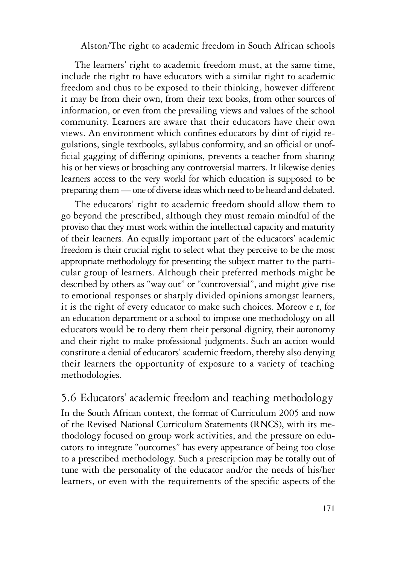The learners' right to academic freedom must, at the same time, include the right to have educators with a similar right to academic freedom and thus to be exposed to their thinking, however different it may be from their own, from their text books, from other sources of information, or even from the prevailing views and values of the school community. Learners are aware that their educators have their own views. An environment which confines educators by dint of rigid regulations, single textbooks, syllabus conformity, and an official or unofficial gagging of differing opinions, prevents a teacher from sharing his or her views or broaching any controversial matters. It likewise denies learners access to the very world for which education is supposed to be preparing them—one of diverseideaswhich need to be heard and debated.

The educators' right to academic freedom should allow them to go beyond the prescribed, although they must remain mindful of the proviso that they must work within the intellectual capacity and maturity of their learners. An equally important part of the educators' academic freedom is their crucial right to select what they perceive to be the most appropriate methodology for presenting the subject matter to the particular group of learners. Although their preferred methods might be described by others as "way out" or "controversial", and might give rise to emotional responses or sharply divided opinions amongst learners, it is the right of every educator to make such choices. Moreov e r, for an education department or a school to impose one methodology on all educators would be to deny them their personal dignity, their autonomy and their right to make professional judgments. Such an action would constitute a denial of educators' academic freedom, thereby also denying their learners the opportunity of exposure to a variety of teaching methodologies.

# 5.6 Educators' academic freedom and teaching methodology

In the South African context, the format of Curriculum 2005 and now of the Revised National Curriculum Statements (RNCS), with its methodology focused on group work activities, and the pressure on educators to integrate "outcomes" has every appearance of being too close to a prescribed methodology. Such a prescription may be totally out of tune with the personality of the educator and/or the needs of his/her learners, or even with the requirements of the specific aspects of the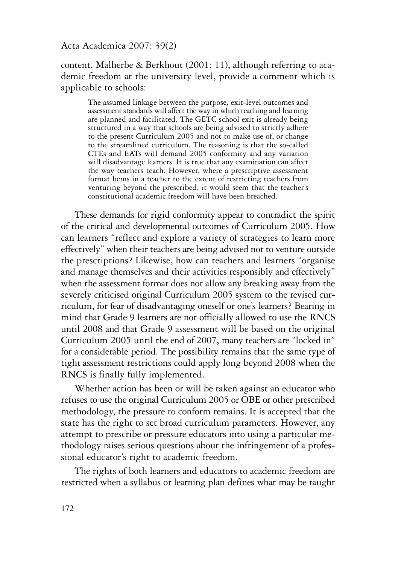content. Malherbe & Berkhout (2001: 11), although referring to academic freedom at the university level, provide a comment which is applicable to schools:

The assumed linkage between the purpose, exit-level outcomes and assessment standards will affect the way in which teaching and learning are planned and facilitated. The GETC school exit is already being structured in a way that schools are being advised to strictly adhere<br>to the present Curriculum 2005 and not to make use of, or change to the streamlined curriculum. The reasoning is that the so-called CTEs and EATs will demand 2005 conformity and any variation will disadvantage learners. It is true that any examination can affect the wav teachers teach. However, where a prescriptive assessment format hems in a teacher to the extent of restricting teachers from venturing beyond the prescribed, it would seem that the teacher's constitutional academic freedom will have been breached.

These demands for rigid conformity appear to contradict the spirit of the critical and developmental outcomes of Curriculum 2005. How can learners "reflect and explore a variety of strategies to learn more effectively" when their teachers are being advised not to venture outside the prescriptions? Likewise, how can teachers and learners "organise and manage themselves and their activities responsibly and effectively" when the assessment format does not allow any breaking away from the severely criticised original Curriculum 2005 system to the revised curriculum, for fear of disadvantaging oneself or one's learners? Bearing in mind that Grade 9 learners are not officially allowed to use the RNCS until 2008 and that Grade 9 assessment will be based on the original Curriculum 2005 until the end of 2007, many teachers are "locked in" for a considerable period. The possibility remains that the same type of tight assessment restrictions could apply long beyond 2008 when the RNCS is finally fully implemented.

Whether action has been or will be taken against an educator who refuses to use the original Curriculum 2005 or OBE or other prescribed methodology, the pressure to conform remains. It is accepted that the state has the right to set broad curriculum parameters. However, any attempt to prescribe or pressure educators into using a particular methodology raises serious questions about the infringement of a professional educator's right to academic freedom.

The rights of both learners and educators to academic freedom are restricted when a syllabus or learning plan defines what may be taught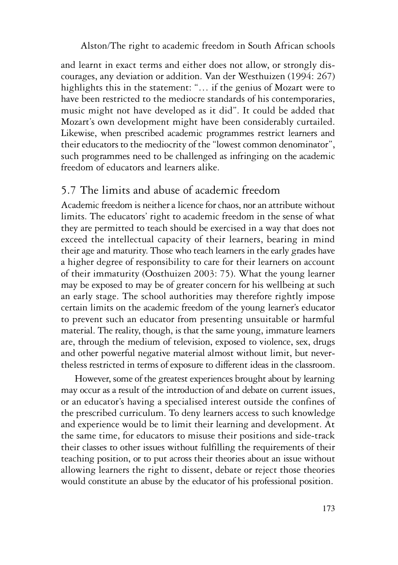and learnt in exact terms and either does not allow, or strongly discourages, any deviation or addition. Van der Westhuizen (1994: 267) highlights this in the statement: "... if the genius of Mozart were to have been restricted to the mediocre standards of his contemporaries, music might not have developed as it did". It could be added that Mozart's own development might have been considerably curtailed. Likewise, when prescribed academic programmes restrict learners and their educators to the mediocrity of the "lowest common denominator", such programmes need to be challenged as infringing on the academic freedom of educators and learners alike.

# 5.7 The limits and abuse of academic freedom

Academic freedom is neither a licence for chaos, nor an attribute without limits. The educators' right to academic freedom in the sense of what they are permitted to teach should be exercised in a way that does not exceed the intellectual capacity of their learners, bearing in mind their age and maturity. Those who teach learners in the early grades have a higher degree of responsibility to care for their learners on account of their immaturity (Oosthuizen 2003: 75). What the young learner may be exposed to may be of greater concern for his wellbeing at such an early stage. The school authorities may therefore rightly impose certain limits on the academic freedom of the young learner's educator to prevent such an educator from presenting unsuitable or harmful material. The reality, though, is that the same young, immature learners are, through the medium of television, exposed to violence, sex, drugs and other powerful negative material almost without limit, but nevertheless restricted in terms of exposure to different ideas in the classroom.

However, some of the greatest experiences brought about by learning may occur as aresult of the introduction of and debate on current issues, or an educator's having a specialised interest outside the confines of the prescribed curriculum. To deny learners access to such knowledge and experience would be to limit their learning and development. At the same time, for educators to misuse their positions and side-track their classes to other issues without fulfilling the requirements of their teaching position, or to put across their theories about an issue without allowing learners the right to dissent, debate or reject those theories would constitute an abuse by the educator of his professional position.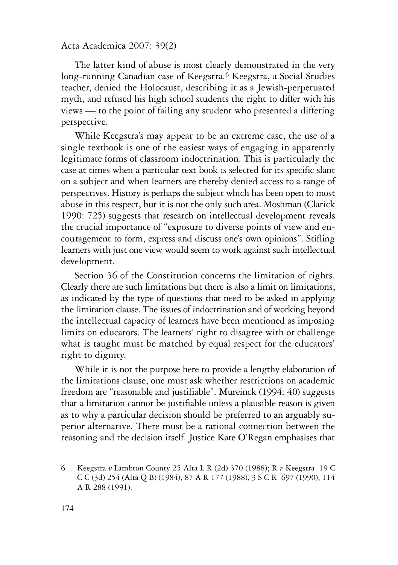The latter kind of abuse is most clearly demonstrated in the very long-running Canadian case of Keegstra.6 Keegstra, a Social Studies teacher, denied the Holocaust, describing it as a Jewish-perpetuated myth, and refused his high school students the right to differ with his views — to the point of failing any student who presented a differing perspective.

While Keegstra's may appear to be an extreme case, the use of a single textbook is one of the easiest ways of engaging in apparently legitimate forms of classroom indoctrination. This is particularly the case at times when a particular text book is selected for its specific slant on a subject and when learners are thereby denied access to a range of perspectives. History is perhaps the subject which has been open to most abuse in this respect, but it is not the only such area. Moshman (Clarick 1990: 725) suggests that research on intellectual development reveals the crucial importance of "exposure to diverse points of view and encouragement to form, express and discuss one's own opinions". Stifling learners with just one view would seem to work against such intellectual development.

Section 36 of the Constitution concerns the limitation of rights. Clearly there are such limitations but there is also a limit on limitations, as indicated by the type of questions that need to be asked in applying the limitation clause. The issues of indoctrination and of working beyond the intellectual capacity of learners have been mentioned as imposing limits on educators. The learners' right to disagree with or challenge what is taught must be matched by equal respect for the educators' right to dignity.

While it is not the purpose here to provide a lengthy elaboration of the limitations clause, one must ask whether restrictions on academic freedom are "reasonable and justifiable". Mureinck (1994: 40) suggests that a limitation cannot be justifiable unless a plausible reason is given as to why a particular decision should be preferred to an arguably superior alternative. There must be a rational connection between the reasoning and the decision itself. Justice Kate O'Regan emphasises that

<sup>6</sup> Keegstra *v* Lambton County 25 Alta L R (2d) 370 (1988); R *v* Keegstra 19 C C C (3d) 254 (Alta Q B) (1984), 87 A R 177 (1988), 3 S C R 697 (1990), 114 A R 288 (1991).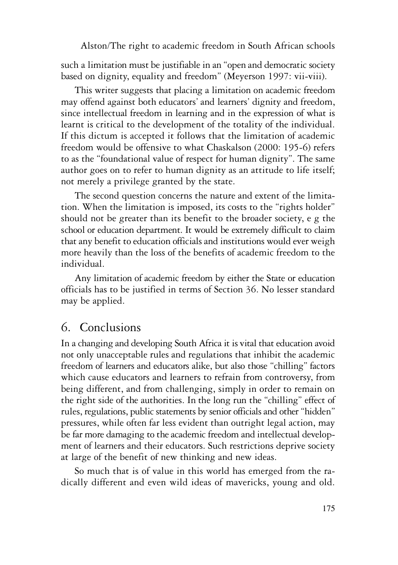such a limitation must be justifiable in an "open and democratic society based on dignity, equality and freedom" (Meyerson 1997: vii-viii).

This writer suggests that placing a limitation on academic freedom may offend against both educators' and learners' dignity and freedom, since intellectual freedom in learning and in the expression of what is learnt is critical to the development of the totality of the individual. If this dictum is accepted it follows that the limitation of academic freedom would be offensive to what Chaskalson (2000: 195-6) refers to as the "foundational value of respect for human dignity". The same author goes on to refer to human dignity as an attitude to life itself; not merely a privilege granted by the state.

The second question concerns the nature and extent of the limitation. When the limitation is imposed, its costs to the "rights holder" should not be greater than its benefit to the broader society, e g the school or education department. It would be extremely difficult to claim that any benefit to education officialsand institutions would ever weigh more heavily than the loss of the benefits of academic freedom to the individual.

Any limitation of academic freedom by either the State or education officials has to be justified in terms of Section 36. No lesser standard may be applied.

# 6. Conclusions

In a changing and developing South Africa it is vital that education avoid not only unacceptable rules and regulations that inhibit the academic freedom of learners and educators alike, but also those "chilling" factors which cause educators and learners to refrain from controversy, from being different, and from challenging, simply in order to remain on the right side of the authorities. In the long run the "chilling" effect of rules, regulations, public statements by senior officials and other "hidden" pressures, while often far less evident than outright legal action, may be far more damaging to the academic freedom and intellectual development of learners and their educators. Such restrictions deprive society at large of the benefit of new thinking and new ideas.

So much that is of value in this world has emerged from the radically different and even wild ideas of mavericks, young and old.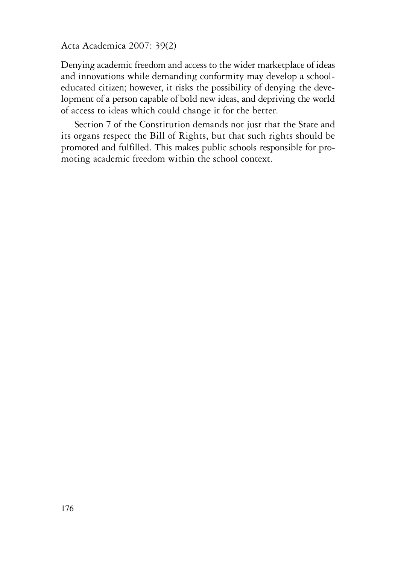Denying academic freedom and access to the wider marketplace of ideas and innovations while demanding conformity may develop a schooleducated citizen; however, it risks the possibility of denying the development of a person capable of bold new ideas, and depriving the world of access to ideas which could change it for the better.

Section 7 of the Constitution demands not just that the State and its organs respect the Bill of Rights, but that such rights should be promoted and fulfilled. This makes public schools responsible for promoting academic freedom within the school context.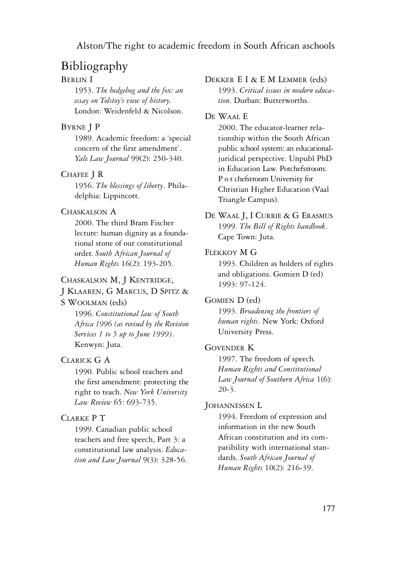# Bibliography

# BERLIN I

1953. *The hedgehog and the fox: an essay on Tolstoy's view of history*. London: Weidenfeld & Nicolson.

### BYRNE J P

1989. Academic freedom: a 'special concern of the first amendment'. *Yale Law Journal* 99(2): 250-340.

#### CHAFEE J R

1956. *The blessings of liberty*. Philadelphia: Lippincott.

#### CHASKALSON A

2000. The third Bram Fischer lecture: human dignity as a foundational stone of our constitutional order. *South African Journal of Human Rights* 16(2): 193-205.

### CHASKALSON M, J KENTRIDGE,

### J KLAAREN, G MARCUS, D SPITZ &

# S WOOLMAN (eds)

1996. *Constitutional law of South Africa 1996 (as revised by the Revision Services 1 to 5 up to June 1999)*. Kenwyn: Juta.

### CLARICK G A

1990. Public school teachers and the first amendment: protecting the right to teach. *New York University Law Review* 65: 693-735.

# CLARKE P T

1999. Canadian public school teachers and free speech, Part 3: a constitutional law analysis. *Education and Law Journal* 9(3): 328-56.

#### DEKKER E I & E M LEMMER (eds)

1993. *Critical issues in modern education*. Durban: Butterworths.

#### DE WAAL E

2000. The educator-learner relationship within the South African public school system: an educationaljuridical perspective. Unpubl PhD in Education Law. Potchefstroom: P o t chefstroom University for Christian Higher Education (Vaal Triangle Campus).

DE WAAL J, I CURRIE & G ERASMUS 1999. *The Bill of Rights handbook*. Cape Town: Juta.

### FLEKKOY M G

1993. Children as holders of rights and obligations. Gomien D (ed) 1993: 97-124.

#### GOMIEN D (ed)

1993. *Broadening the frontiers of human rights*. New York: Oxford University Press.

#### GOVENDER K

1997. The freedom of speech. *Human Rights and Constitutional Law Journal of Southern Africa* 1(6): 20-3.

#### JOHANNESSEN L

1994. Freedom of expression and information in the new South African constitution and its compatibility with international standards. *South African Journal of Human Rights* 10(2): 216-39.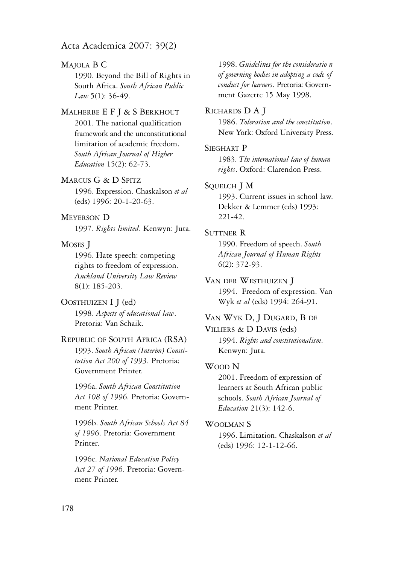### MAJOLA B C

1990. Beyond the Bill of Rights in South Africa. *South African Public Law* 5(1): 36-49.

### MALHERBE E F J & S BERKHOUT

2001. The national qualification framework and the unconstitutional limitation of academic freedom. *South African Journal of Higher Education* 15(2): 62-73.

#### MARCUS G & D SPITZ

1996. Expression. Chaskalson *et al* (eds) 1996: 20-1-20-63.

### MEYERSON D

1997. *Rights limited*. Kenwyn: Juta.

#### MOSES J

1996. Hate speech: competing rights to freedom of expression. *Auckland University Law Review* 8(1): 185-203.

#### OOSTHUIZEN I J (ed)

1998. *Aspects of educational law*. Pretoria: Van Schaik.

# REPUBLIC OF SOUTH AFRICA (RSA) 1993. *South African (Interim) Consti-*

*tution Act 200 of 1993*. Pretoria: Government Printer.

1996a. *South African Constitution Act 108 of 1996*. Pretoria: Government Printer.

1996b. *South African Schools Act 84 of 1996*. Pretoria: Government Printer.

1996c. *National Education Policy Act 27 of 1996*. Pretoria: Government Printer.

1998. *Guidelines for the consideratio n of governing bodies in adopting a code of conduct for learners*. Pretoria: Government Gazette 15 May 1998.

#### RICHARDS D A J

1986. *Toleration and the constitution*. New York: Oxford University Press.

#### SIEGHART P

1983. *The international law of human rights*. Oxford: Clarendon Press.

#### SQUELCH J M

1993. Current issues in school law. Dekker & Lemmer (eds) 1993: 221-42.

#### SUTTNER R

1990. Freedom of speech. *South African Journal of Human Rights* 6(2): 372-93.

#### VAN DER WESTHUIZEN J

1994. Freedom of expression. Van Wyk *et al* (eds) 1994: 264-91.

### VAN WYK D, J DUGARD, B DE

VILLIERS & D DAVIS (eds) 1994. *Rights and constitutionalism*. Kenwyn: Juta.

#### WOOD N

2001. Freedom of expression of learners at South African public schools. *South African Journal of Education* 21(3): 142-6.

#### WOOLMAN<sub>S</sub>

1996. Limitation. Chaskalson *et al* (eds) 1996: 12-1-12-66.